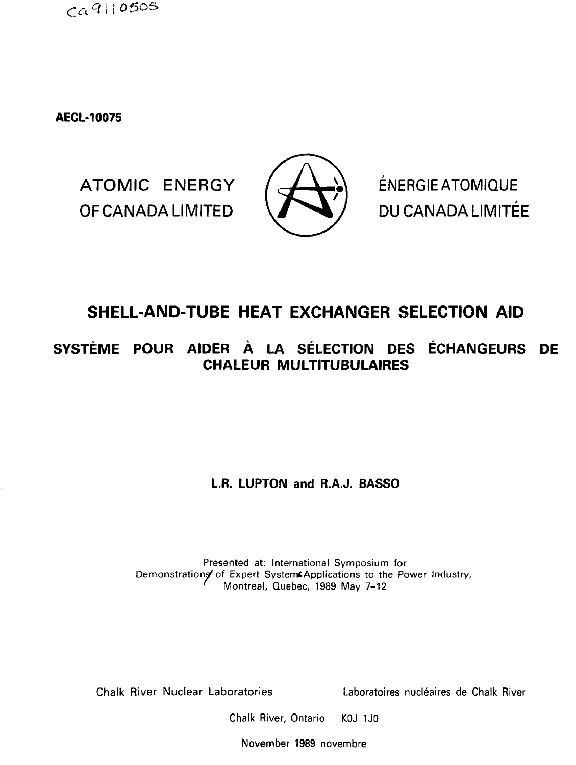$CA9110505$ 

**AECL-10075**

ATOMIC ENERGY  $/$   $\rightarrow$   $\rightarrow$  ENERGIE ATOMIQUE OF CANADA LIMITED **Vi^V /** DU CANADA LIMITEE



# **SHELL-AND-TUBE HEAT EXCHANGER SELECTION AID**

**SYSTEME POUR AIDER A LA SELECTION DES ECHANGEURS DE CHALEUR MULTITUBULAIRES**

**L.R. LUPTON and R.A.J. BASSO** 

Presented at: International Symposium for Demonstrations of Expert SystemsApplications to the Power Industry, ' Montreal, Quebec, 1989 May 7-12

Chalk River Nuclear Laboratories Laboratoires nucleates de Chalk River

Chalk River, Ontario KOJ 1J0

November 1989 novembre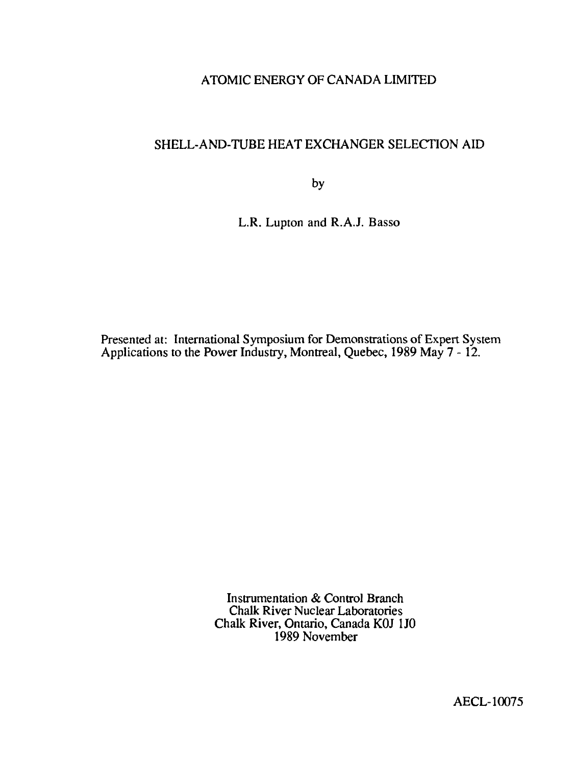## ATOMIC ENERGY OF CANADA LIMITED

# SHELL-AND-TUBE HEAT EXCHANGER SELECTION AID

by

L.R. Lupton and R.A.J. Basso

Presented at: International Symposium for Demonstrations of Expert System Applications to the Power Industry, Montreal, Quebec, 1989 May 7 - 12.

> Instrumentation & Control Branch Chalk River Nuclear Laboratories Chalk River, Ontario, Canada KOJ 1J0 1989 November

> > AECL-10075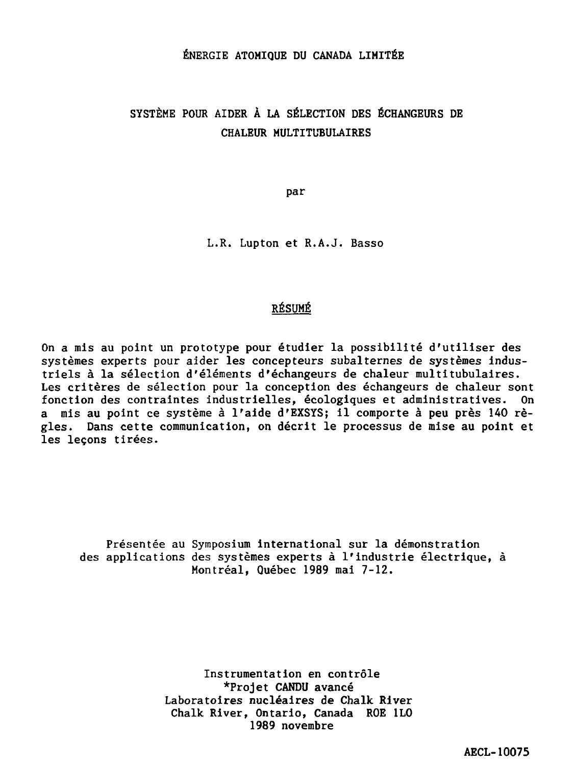#### ÉNERGIE ATOMIQUE DU CANADA LIMITÉE

# SYSTÈME POUR AIDER À LA SÉLECTION DES ÉCHANGEURS DE CHALEUR MULTITUBULAIRES

par

L.R. Lupton et R.A.J. Basso

### RÉSUMÉ

On a mis au point un prototype pour étudier la possibilité d'utiliser des systèmes experts pour aider les concepteurs subalternes de systèmes industriels à la sélection d'éléments d'échangeurs de chaleur multitubulaires. Les critères de sélection pour la conception des échangeurs de chaleur sont fonction des contraintes industrielles, écologiques et administratives. On a mis au point ce système à l'aide d'EXSYS; il comporte à peu près 140 règles. Dans cette communication, on décrit le processus de mise au point et les leçons tirées.

Présentée au Symposium international sur la démonstration des applications des systèmes experts à l'industrie électrique, à Montréal, Québec 1989 mai 7-12.

> Instrumentation en contrôle \*Projet CANDU avancé Laboratoires nucléaires de Chalk River Chalk River, Ontario, Canada ROE 1L0 1989 novembre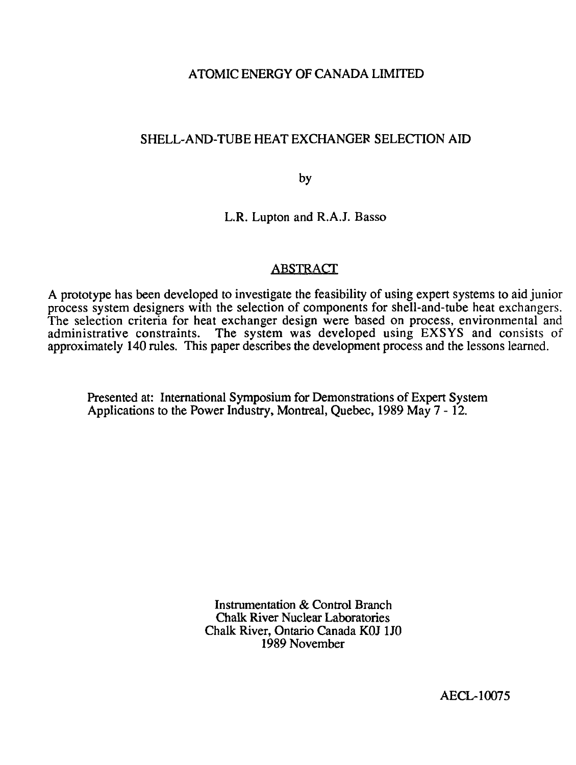### ATOMIC ENERGY OF CANADA LIMITED

### SHELL-AND-TUBE HEAT EXCHANGER SELECTION AID

by

L.R. Lupton and R.A.J. Basso

### ABSTRACT

A prototype has been developed to investigate the feasibility of using expert systems to aid junior process system designers with the selection of components for shell-and-tube heat exchangers. The selection criteria for heat exchanger design were based on process, environmental and administrative constraints. The system was developed using EXSYS and consists of approximately 140 rules. This paper describes the development process and the lessons learned.

Presented at: International Symposium for Demonstrations of Expert System Applications to the Power Industry, Montreal, Quebec, 1989 May 7 - 12.

> Instrumentation & Control Branch Chalk River Nuclear Laboratories Chalk River, Ontario Canada K0J 1J0 1989 November

> > AECL-10075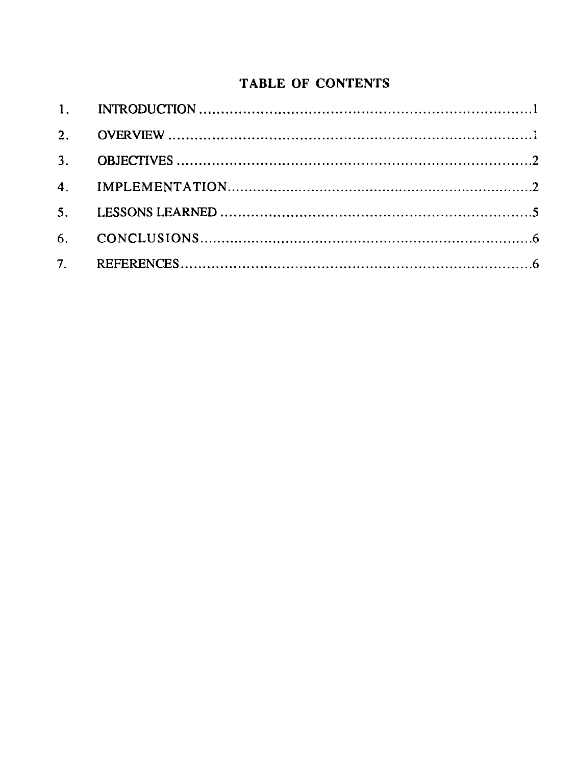# **TABLE OF** CONTENTS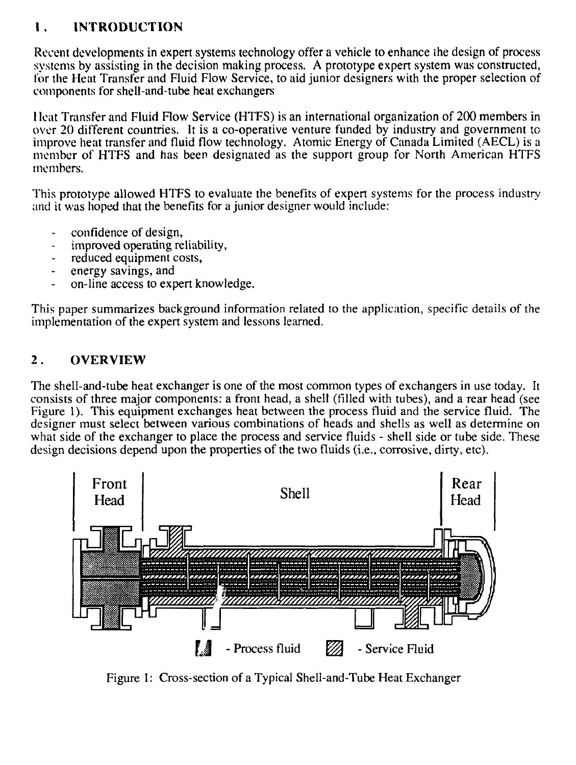# **1 INTRODUCTION**

Recent developments in expert systems technology offer a vehicle to enhance the design of process systems by assisting in the decision making process. A prototype expert system was constructed, for the Heat Transfer and Fluid Flow Service, to aid junior designers with the proper selection of components for shell-and-tube heat exchangers

1 leat Transfer and Fluid Flow Service (HTFS) is an international organization of 200 members in over 20 different countries. It is a co-operative venture funded by industry and government to improve heat transfer and fluid flow technology. Atomic Energy of Canada Limited (AECL) is a member of HTFS and has been designated as the support group for North American HTFS members.

This prototype allowed HTFS to evaluate the benefits of expert systems for the process industry and it was hoped that the benefits for a junior designer would include:

- confidence of design,
- improved operating reliability,
- reduced equipment costs,
- energy savings, and
- on-line access to expert knowledge.

This paper summarizes background information related to the application, specific details of the implementation of the expert system and lessons learned.

## **2** . **OVERVIEW**

The shell-and-tube heat exchanger is one of the most common types of exchangers in use today. It consists of three major components: a front head, a shell (filled with tubes), and a rear head (see Figure 1). This equipment exchanges heat between the process fluid and the service fluid. The designer must select between various combinations of heads and shells as well as determine on what side of the exchanger to place the process and service fluids - shell side or tube side. These design decisions depend upon the properties of the two fluids (i.e., corrosive, dirty, etc).



Figure 1: Cross-section of a Typical Shell-and-Tube Heat Exchanger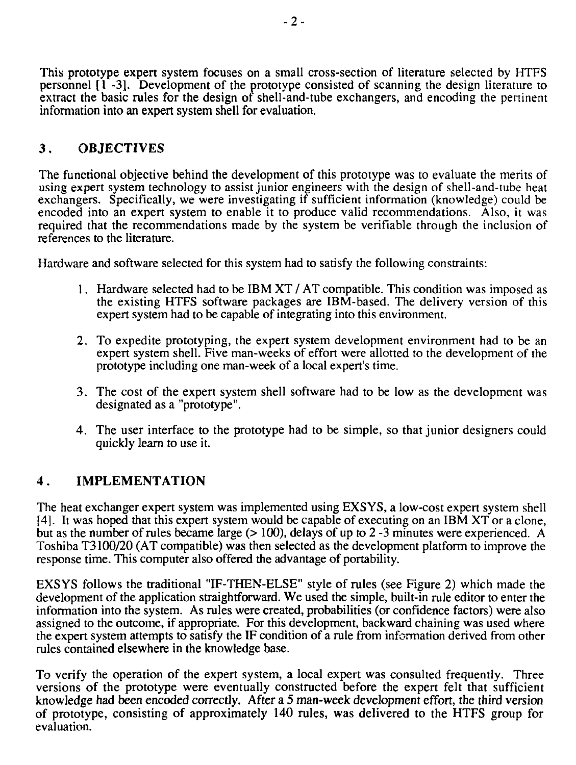This prototype expert system focuses on a small cross-section of literature selected by HTFS personnel [1 -3]. Development of the prototype consisted of scanning the design literature to extract the basic rules for the design of shell-and-tube exchangers, and encoding the pertinent information into an expert system shell for evaluation.

# 3 . OBJECTIVES

The functional objective behind the development of this prototype was to evaluate the merits of using expert system technology to assist junior engineers with the design of shell-and-tube heat exchangers. Specifically, we were investigating if sufficient information (knowledge) could be encoded into an expert system to enable it to produce valid recommendations. Also, it was required that the recommendations made by the system be verifiable through the inclusion of references to the literature.

Hardware and software selected for this system had to satisfy the following constraints:

- 1. Hardware selected had to be IBM XT / AT compatible. This condition was imposed as the existing HTFS software packages are IBM-based. The delivery version of this expert system had to be capable of integrating into this environment.
- 2. To expedite prototyping, the expert system development environment had to be an expert system shell. Five man-weeks of effort were allotted to the development of the prototype including one man-week of a local expert's time.
- 3. The cost of the expert system shell software had to be low as the development was designated as a "prototype".
- 4. The user interface to the prototype had to be simple, so that junior designers could quickly learn to use it.

## 4 . IMPLEMENTATION

The heat exchanger expert system was implemented using EXSYS, a low-cost expert system shell [4]. It was hoped that this expert system would be capable of executing on an IBM XT or a clone, but as the number of rules became large (> 100), delays of up to 2 -3 minutes were experienced. A Toshiba T3100/20 (AT compatible) was then selected as the development platform to improve the response time. This computer also offered the advantage of portability.

EXSYS follows the traditional "IF-THEN-ELSE" style of rules (see Figure 2) which made the development of the application straightforward. We used the simple, built-in rule editor to enter the information into the system. As rules were created, probabilities (or confidence factors) were also assigned to the outcome, if appropriate. For this development, backward chaining was used where the expert system attempts to satisfy the IF condition of a rule from information derived from other rules contained elsewhere in the knowledge base.

To verify the operation of the expert system, a local expert was consulted frequently. Three versions of the prototype were eventually constructed before the expert felt that sufficient knowledge had been encoded correctly. After a 5 man-week development effort, the third version of prototype, consisting of approximately 140 rules, was delivered to the HTFS group for evaluation.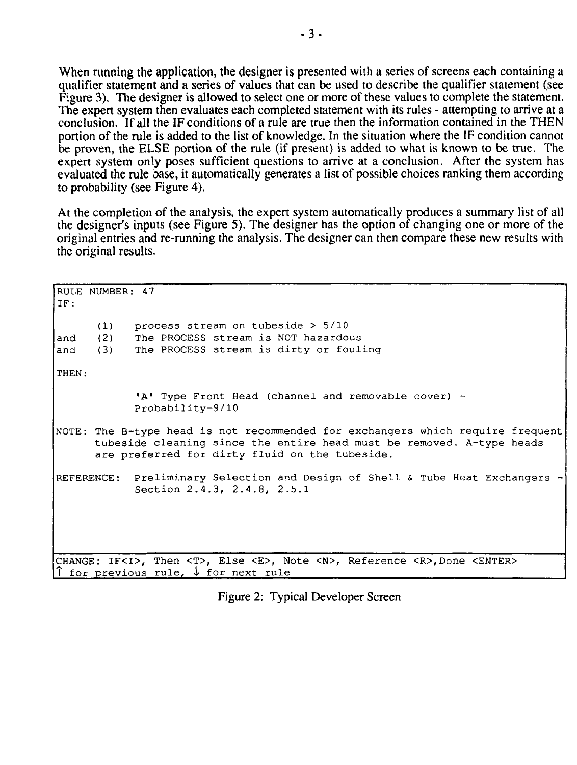When running the application, the designer is presented with a series of screens each containing a qualifier statement and a series of values that can be used to describe the qualifier statement (see Figure 3). The designer is allowed to select one or more of these values to complete the statement. The expert system then evaluates each completed statement with its rules - attempting to arrive at a conclusion. If all the IF conditions of a rule are true then the information contained in the THEN portion of the rule is added to the list of knowledge. In the situation where the IF condition cannot be proven, the ELSE portion of the rule (if present) is added to what is known to be true. The expert system only poses sufficient questions to arrive at a conclusion. After the system has evaluated the rule base, it automatically generates a list of possible choices ranking them according to probability (see Figure 4).

At the completion of the analysis, the expert system automatically produces a summary list of all the designer's inputs (see Figure 5). The designer has the option of changing one or more of the original entries and re-running the analysis. The designer can then compare these new results with the original results.

RULE NUMBER: 47 IF: (1) process stream on tubeside > 5/10 and (2) The PROCESS stream is NOT hazardous and (3) The PROCESS stream is dirty or fouling THEN: 'A' Type Front Head (channel and removable cover) -Probability=9/10 NOTE: The B-type head is not recommended for exchangers which require frequent tubeside cleaning since the entire head must be removed. A-type heads are preferred for dirty fluid on the tubeside. REFERENCE: Preliminary Selection and Design of Shell & Tube Heat Exchangers Section 2.4.3, 2.4.8, 2.5.1 CHANGE: IF<I>, Then <T>, Else <E>, Note <N>, Reference <R>,Done <ENTER> for previous rule,  $\downarrow$  for next rule

Figure 2: Typical Developer Screen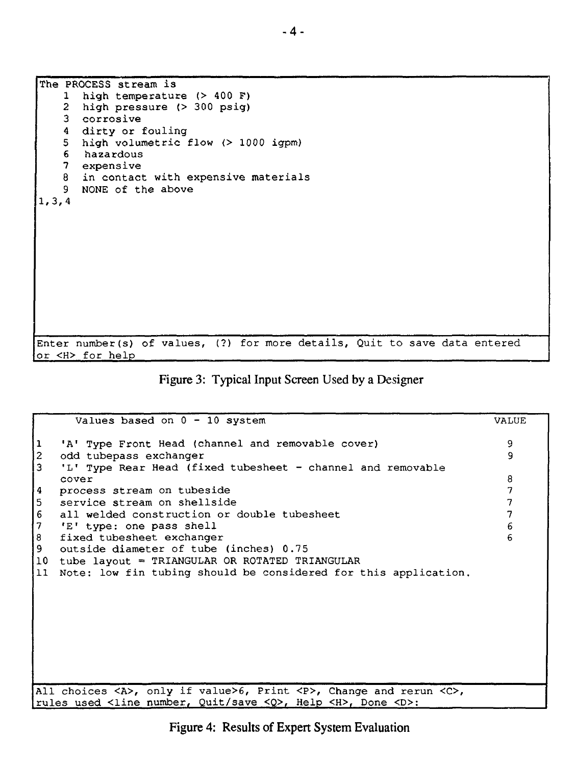| The PROCESS stream is                                                      |
|----------------------------------------------------------------------------|
|                                                                            |
| high temperature $(> 400 F)$<br>$\mathbf{1}$                               |
| high pressure (> 300 psig)<br>$\mathbf{2}$                                 |
| 3 corrosive                                                                |
| 4 dirty or fouling                                                         |
| 5 high volumetric flow (> 1000 igpm)                                       |
| 6 hazardous                                                                |
|                                                                            |
| 7 expensive                                                                |
| in contact with expensive materials<br>8                                   |
| 9.<br>NONE of the above                                                    |
| 1, 3, 4                                                                    |
|                                                                            |
|                                                                            |
|                                                                            |
|                                                                            |
|                                                                            |
|                                                                            |
|                                                                            |
|                                                                            |
|                                                                            |
|                                                                            |
|                                                                            |
|                                                                            |
|                                                                            |
| Enter number(s) of values, (?) for more details, Quit to save data entered |
| or <h> for help</h>                                                        |

Figure 3: Typical Input Screen Used by a Designer

| Values based on $0 - 10$ system                                                                                       | <b>VALUE</b> |
|-----------------------------------------------------------------------------------------------------------------------|--------------|
| 'A' Type Front Head (channel and removable cover)                                                                     | 9            |
| odd tubepass exchanger<br>2                                                                                           | 9            |
| 3<br>'L' Type Rear Head (fixed tubesheet - channel and removable                                                      |              |
| cover                                                                                                                 | 8            |
| process stream on tubeside<br>4                                                                                       | 7            |
| 5<br>service stream on shellside                                                                                      | 7            |
| 6<br>all welded construction or double tubesheet                                                                      |              |
| 7<br>'E' type: one pass shell                                                                                         | 6            |
| 8<br>fixed tubesheet exchanger                                                                                        |              |
| 9<br>outside diameter of tube (inches) 0.75                                                                           |              |
| tube layout = TRIANGULAR OR ROTATED TRIANGULAR<br>10                                                                  |              |
| Note: low fin tubing should be considered for this application.<br>11                                                 |              |
|                                                                                                                       |              |
|                                                                                                                       |              |
|                                                                                                                       |              |
|                                                                                                                       |              |
|                                                                                                                       |              |
|                                                                                                                       |              |
|                                                                                                                       |              |
|                                                                                                                       |              |
| All choices $\langle A \rangle$ , only if value>6, Print $\langle P \rangle$ , Change and rerun $\langle C \rangle$ , |              |
| rules used <line <q="" number,="" quit="" save="">, Help <h>, Done <d>:</d></h></line>                                |              |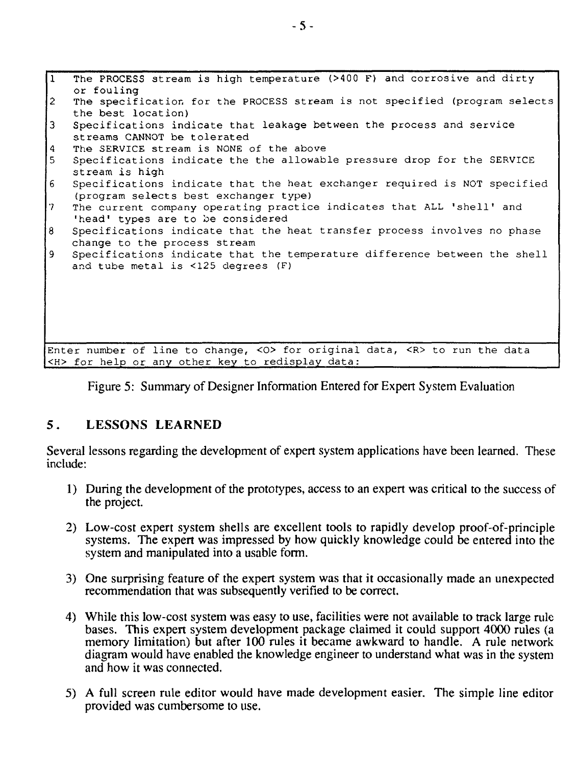| $\sqrt{1}$                                                                     | The PROCESS stream is high temperature (>400 F) and corrosive and dirty    |  |
|--------------------------------------------------------------------------------|----------------------------------------------------------------------------|--|
|                                                                                | or fouling                                                                 |  |
| 12                                                                             | The specification for the PROCESS stream is not specified (program selects |  |
|                                                                                | the best location)                                                         |  |
| $\overline{3}$                                                                 | Specifications indicate that leakage between the process and service       |  |
|                                                                                | streams CANNOT be tolerated                                                |  |
| $\vert 4 \vert$                                                                | The SERVICE stream is NONE of the above                                    |  |
| 5 <sub>1</sub>                                                                 | Specifications indicate the the allowable pressure drop for the SERVICE    |  |
|                                                                                | stream is high                                                             |  |
| 6 <sup>1</sup>                                                                 | Specifications indicate that the heat exchanger required is NOT specified  |  |
|                                                                                | (program selects best exchanger type)                                      |  |
| $\mathbf{7}$                                                                   | The current company operating practice indicates that ALL 'shell' and      |  |
|                                                                                | "head" types are to be considered                                          |  |
| $\overline{8}$                                                                 | Specifications indicate that the heat transfer process involves no phase   |  |
|                                                                                | change to the process stream                                               |  |
| 9                                                                              | Specifications indicate that the temperature difference between the shell  |  |
|                                                                                | and tube metal is <125 degrees (F)                                         |  |
|                                                                                |                                                                            |  |
|                                                                                |                                                                            |  |
|                                                                                |                                                                            |  |
|                                                                                |                                                                            |  |
|                                                                                |                                                                            |  |
|                                                                                |                                                                            |  |
| Enter number of line to change, <0> for original data, <r> to run the data</r> |                                                                            |  |
| <h> for help or any other key to redisplay data:</h>                           |                                                                            |  |

Figure 5: Summary of Designer Information Entered for Expert System Evaluation

### **5. LESSONS LEARNED**

Several lessons regarding the development of expert system applications have been learned. These include:

- 1) During the development of the prototypes, access to an expert was critical to the success of the project.
- 2) Low-cost expert system shells are excellent tools to rapidly develop proof-of-principle systems. The expert was impressed by how quickly knowledge could be entered into the system and manipulated into a usable form.
- 3) One surprising feature of the expert system was that it occasionally made an unexpected recommendation that was subsequently verified to be correct.
- 4) While this low-cost system was easy to use, facilities were not available to track large rule bases. This expert system development package claimed it could support 4000 rules (a memory limitation) but after 100 rules it became awkward to handle. A rule network diagram would have enabled the knowledge engineer to understand what was in the system and how it was connected.
- 5) A full screen rule editor would have made development easier. The simple line editor provided was cumbersome to use.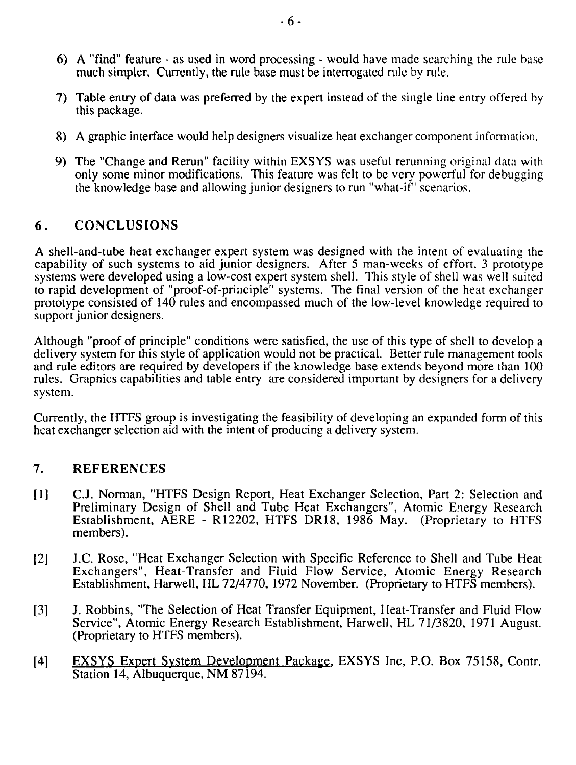- 6) A "find" feature as used in word processing would have made searching the rule base much simpler. Currently, the rule base must be interrogated rule by rule.
- 7) Table entry of data was preferred by the expert instead of the single line entry offered by this package.
- 8) A graphic interface would help designers visualize heat exchanger component information.
- 9) The "Change and Rerun" facility within EXSYS was useful rerunning original data with only some minor modifications. This feature was felt to be very powerful for debugging the knowledge base and allowing junior designers to run "what-if" scenarios.

# **6 . CONCLUSIONS**

A shell-and-tube heat exchanger expert system was designed with the intent of evaluating the capability of such systems to aid junior designers. After 5 man-weeks of effort, 3 prototype systems were developed using a low-cost expert system shell. This style of shell was well suited to rapid development of "proof-of-priiiciple" systems. The final version of the heat exchanger prototype consisted of 140 rules and encompassed much of the low-level knowledge required to support junior designers.

Although "proof of principle" conditions were satisfied, the use of this type of shell to develop a delivery system for this style of application would not be practical. Better rule management tools and rule editors are required by developers if the knowledge base extends beyond more than 100 rules. Grapnics capabilities and table entry are considered important by designers for a delivery system.

Currently, the HTFS group is investigating the feasibility of developing an expanded form of this heat exchanger selection aid with the intent of producing a delivery system.

### 7. REFERENCES

- [1] CJ. Norman, "HTFS Design Report, Heat Exchanger Selection, Part 2: Selection and Preliminary Design of Shell and Tube Heat Exchangers", Atomic Energy Research Establishment, AERE - R12202, HTFS DR18, 1986 May. (Proprietary to HTFS members).
- 12] J.C. Rose, "Heat Exchanger Selection with Specific Reference to Shell and Tube Heat Exchangers", Heat-Transfer and Fluid Flow Service, Atomic Energy Research Establishment, Harwell, HL 72/4770, 1972 November. (Proprietary to HTFS members).
- [3] J. Robbins, "The Selection of Heat Transfer Equipment, Heat-Transfer and Fluid Flow Service", Atomic Energy Research Establishment, Harwell, HL 71/3820, 1971 August. (Proprietary to HTFS members).
- [4] EXSYS Expert System Development Package, EXSYS Inc, P.O. Box 75158, Contr. Station 14, Albuquerque, NM 87194.